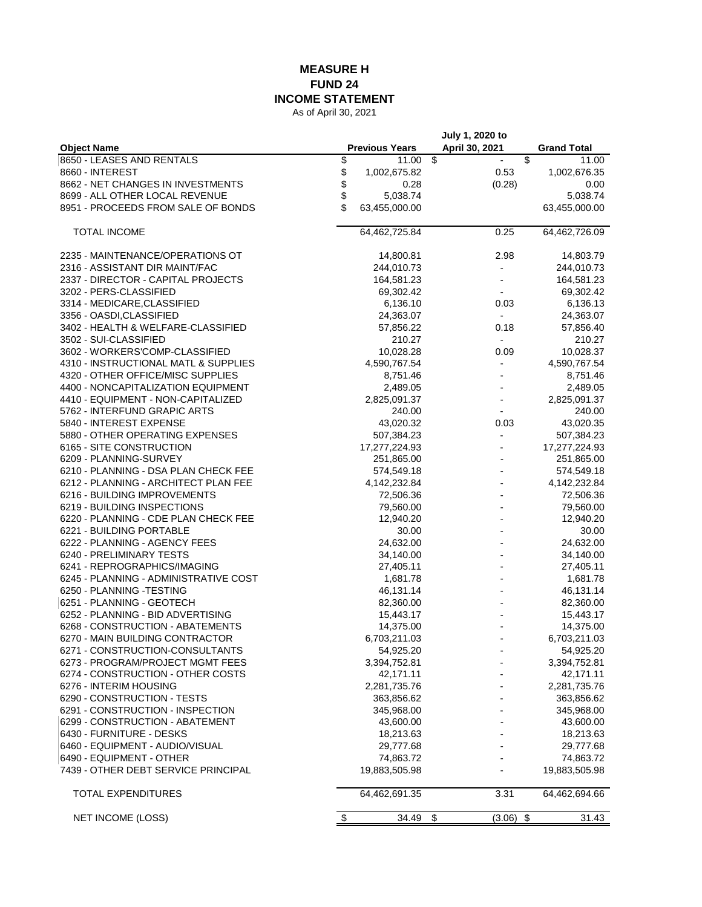## **MEASURE H FUND 24 INCOME STATEMENT**

As of April 30, 2021

|                                       |                       | July 1, 2020 to               |                    |
|---------------------------------------|-----------------------|-------------------------------|--------------------|
| <b>Object Name</b>                    | <b>Previous Years</b> | April 30, 2021                | <b>Grand Total</b> |
| 8650 - LEASES AND RENTALS             | \$<br>11.00           | \$<br>$\overline{\mathbf{3}}$ | 11.00              |
| 8660 - INTEREST                       | \$<br>1,002,675.82    | 0.53                          | 1,002,676.35       |
| 8662 - NET CHANGES IN INVESTMENTS     | \$<br>0.28            | (0.28)                        | 0.00               |
| 8699 - ALL OTHER LOCAL REVENUE        | \$<br>5,038.74        |                               | 5,038.74           |
| 8951 - PROCEEDS FROM SALE OF BONDS    | \$<br>63,455,000.00   |                               | 63,455,000.00      |
| TOTAL INCOME                          | 64,462,725.84         | 0.25                          | 64,462,726.09      |
| 2235 - MAINTENANCE/OPERATIONS OT      | 14,800.81             | 2.98                          | 14,803.79          |
| 2316 - ASSISTANT DIR MAINT/FAC        | 244,010.73            |                               | 244,010.73         |
| 2337 - DIRECTOR - CAPITAL PROJECTS    | 164,581.23            | $\overline{a}$                | 164,581.23         |
| 3202 - PERS-CLASSIFIED                | 69,302.42             |                               | 69,302.42          |
| 3314 - MEDICARE, CLASSIFIED           | 6,136.10              | 0.03                          | 6,136.13           |
| 3356 - OASDI, CLASSIFIED              | 24,363.07             | $\overline{\phantom{a}}$      | 24,363.07          |
| 3402 - HEALTH & WELFARE-CLASSIFIED    | 57,856.22             | 0.18                          | 57,856.40          |
| 3502 - SUI-CLASSIFIED                 | 210.27                | $\overline{\phantom{a}}$      | 210.27             |
| 3602 - WORKERS'COMP-CLASSIFIED        | 10,028.28             | 0.09                          | 10,028.37          |
| 4310 - INSTRUCTIONAL MATL & SUPPLIES  | 4,590,767.54          | $\overline{a}$                | 4,590,767.54       |
| 4320 - OTHER OFFICE/MISC SUPPLIES     | 8,751.46              |                               | 8,751.46           |
| 4400 - NONCAPITALIZATION EQUIPMENT    | 2,489.05              |                               | 2,489.05           |
| 4410 - EQUIPMENT - NON-CAPITALIZED    | 2,825,091.37          |                               | 2,825,091.37       |
| 5762 - INTERFUND GRAPIC ARTS          | 240.00                | $\overline{\phantom{a}}$      | 240.00             |
| 5840 - INTEREST EXPENSE               | 43,020.32             | 0.03                          | 43,020.35          |
| 5880 - OTHER OPERATING EXPENSES       | 507,384.23            | $\overline{\phantom{a}}$      | 507,384.23         |
| 6165 - SITE CONSTRUCTION              | 17,277,224.93         |                               | 17,277,224.93      |
| 6209 - PLANNING-SURVEY                | 251,865.00            | $\overline{a}$                | 251,865.00         |
| 6210 - PLANNING - DSA PLAN CHECK FEE  | 574,549.18            |                               | 574,549.18         |
| 6212 - PLANNING - ARCHITECT PLAN FEE  | 4,142,232.84          |                               | 4,142,232.84       |
| 6216 - BUILDING IMPROVEMENTS          | 72,506.36             |                               | 72,506.36          |
| 6219 - BUILDING INSPECTIONS           | 79,560.00             |                               | 79,560.00          |
| 6220 - PLANNING - CDE PLAN CHECK FEE  | 12,940.20             |                               | 12,940.20          |
| 6221 - BUILDING PORTABLE              | 30.00                 |                               | 30.00              |
| 6222 - PLANNING - AGENCY FEES         | 24,632.00             |                               | 24,632.00          |
| 6240 - PRELIMINARY TESTS              | 34,140.00             |                               | 34,140.00          |
| 6241 - REPROGRAPHICS/IMAGING          | 27,405.11             |                               | 27,405.11          |
| 6245 - PLANNING - ADMINISTRATIVE COST |                       |                               |                    |
|                                       | 1,681.78              |                               | 1,681.78           |
| 6250 - PLANNING -TESTING              | 46,131.14             |                               | 46,131.14          |
| 6251 - PLANNING - GEOTECH             | 82,360.00             |                               | 82,360.00          |
| 6252 - PLANNING - BID ADVERTISING     | 15,443.17             |                               | 15,443.17          |
| 6268 - CONSTRUCTION - ABATEMENTS      | 14,375.00             |                               | 14,375.00          |
| 6270 - MAIN BUILDING CONTRACTOR       | 6,703,211.03          |                               | 6,703,211.03       |
| 6271 - CONSTRUCTION-CONSULTANTS       | 54,925.20             |                               | 54,925.20          |
| 6273 - PROGRAM/PROJECT MGMT FEES      | 3,394,752.81          |                               | 3,394,752.81       |
| 6274 - CONSTRUCTION - OTHER COSTS     | 42,171.11             |                               | 42,171.11          |
| 6276 - INTERIM HOUSING                | 2,281,735.76          |                               | 2,281,735.76       |
| 6290 - CONSTRUCTION - TESTS           | 363,856.62            |                               | 363,856.62         |
| 6291 - CONSTRUCTION - INSPECTION      | 345,968.00            |                               | 345,968.00         |
| 6299 - CONSTRUCTION - ABATEMENT       | 43,600.00             |                               | 43,600.00          |
| 6430 - FURNITURE - DESKS              | 18,213.63             |                               | 18,213.63          |
| 6460 - EQUIPMENT - AUDIO/VISUAL       | 29,777.68             |                               | 29,777.68          |
| 6490 - EQUIPMENT - OTHER              | 74,863.72             |                               | 74,863.72          |
| 7439 - OTHER DEBT SERVICE PRINCIPAL   | 19,883,505.98         |                               | 19,883,505.98      |
| TOTAL EXPENDITURES                    | 64,462,691.35         | 3.31                          | 64,462,694.66      |
| NET INCOME (LOSS)                     | \$<br>34.49           | \$<br>\$<br>(3.06)            | 31.43              |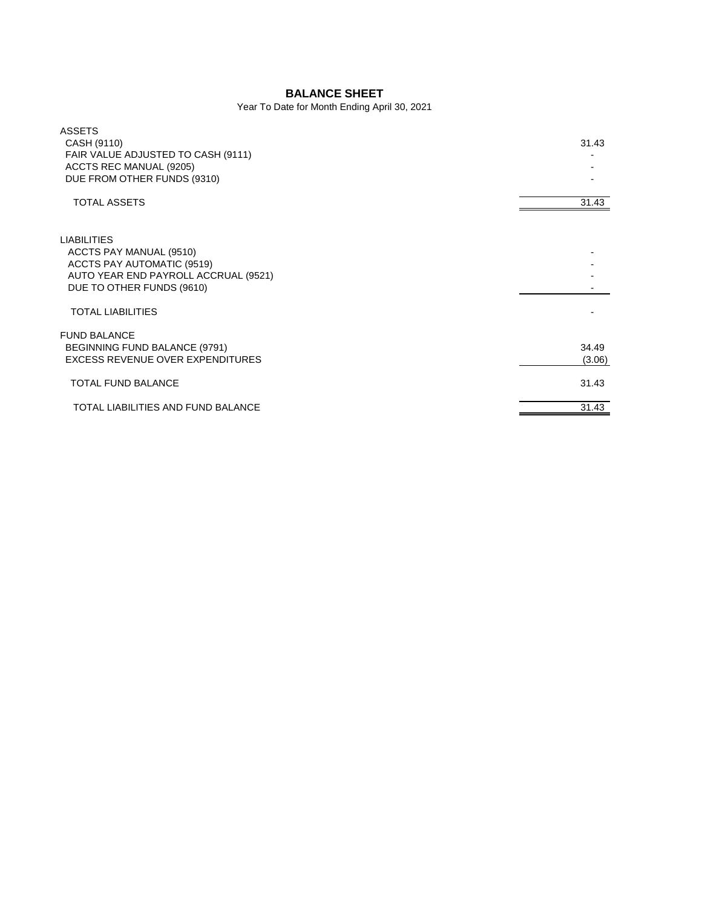## **BALANCE SHEET**

Year To Date for Month Ending April 30, 2021

| <b>ASSETS</b>                        |        |
|--------------------------------------|--------|
| CASH (9110)                          | 31.43  |
| FAIR VALUE ADJUSTED TO CASH (9111)   |        |
| ACCTS REC MANUAL (9205)              |        |
| DUE FROM OTHER FUNDS (9310)          |        |
| <b>TOTAL ASSETS</b>                  | 31.43  |
|                                      |        |
| <b>LIABILITIES</b>                   |        |
| ACCTS PAY MANUAL (9510)              |        |
| <b>ACCTS PAY AUTOMATIC (9519)</b>    |        |
| AUTO YEAR END PAYROLL ACCRUAL (9521) |        |
| DUE TO OTHER FUNDS (9610)            |        |
| <b>TOTAL LIABILITIES</b>             |        |
| <b>FUND BALANCE</b>                  |        |
| BEGINNING FUND BALANCE (9791)        | 34.49  |
| EXCESS REVENUE OVER EXPENDITURES     | (3.06) |
| <b>TOTAL FUND BALANCE</b>            | 31.43  |
| TOTAL LIABILITIES AND FUND BALANCE   | 31.43  |
|                                      |        |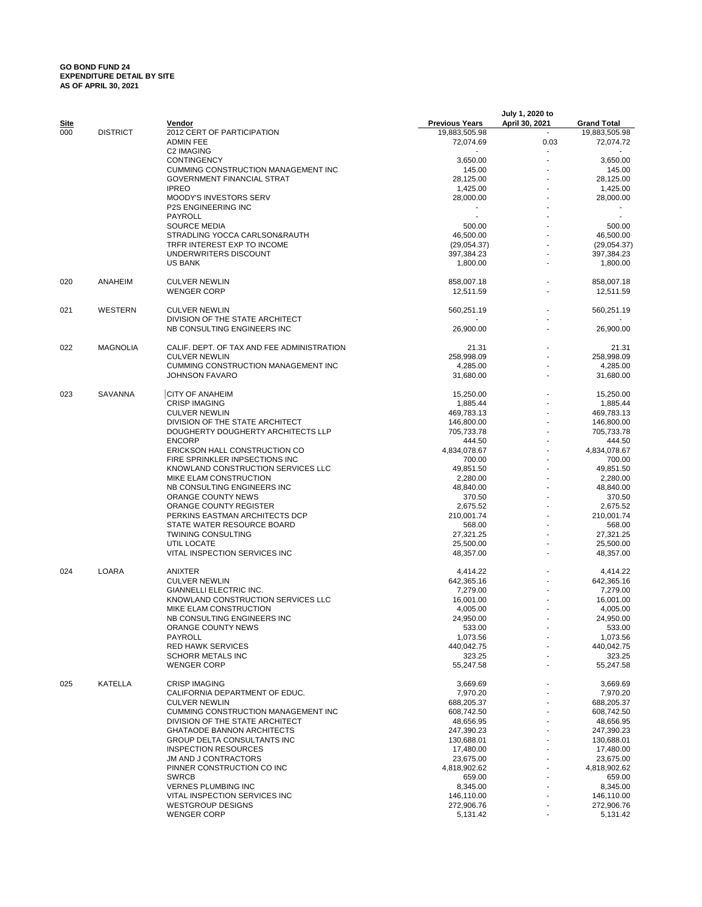## **GO BOND FUND 24 EXPENDITURE DETAIL BY SITE AS OF APRIL 30, 2021**

|             |                 |                                                |                       | July 1, 2020 to |                    |
|-------------|-----------------|------------------------------------------------|-----------------------|-----------------|--------------------|
| <u>Site</u> |                 | Vendor                                         | <b>Previous Years</b> | April 30, 2021  | <b>Grand Total</b> |
| 000         | <b>DISTRICT</b> | 2012 CERT OF PARTICIPATION                     | 19,883,505.98         |                 | 19,883,505.98      |
|             |                 | <b>ADMIN FEE</b>                               | 72,074.69             | 0.03            | 72,074.72          |
|             |                 | C2 IMAGING<br><b>CONTINGENCY</b>               |                       |                 | 3,650.00           |
|             |                 | <b>CUMMING CONSTRUCTION MANAGEMENT INC</b>     | 3,650.00              |                 | 145.00             |
|             |                 |                                                | 145.00                |                 |                    |
|             |                 | <b>GOVERNMENT FINANCIAL STRAT</b>              | 28,125.00             |                 | 28,125.00          |
|             |                 | <b>IPREO</b>                                   | 1,425.00              |                 | 1,425.00           |
|             |                 | MOODY'S INVESTORS SERV                         | 28,000.00             |                 | 28,000.00          |
|             |                 | <b>P2S ENGINEERING INC</b>                     |                       |                 |                    |
|             |                 | PAYROLL                                        |                       |                 |                    |
|             |                 | <b>SOURCE MEDIA</b>                            | 500.00                |                 | 500.00             |
|             |                 | STRADLING YOCCA CARLSON&RAUTH                  | 46,500.00             |                 | 46,500.00          |
|             |                 | TRFR INTEREST EXP TO INCOME                    | (29,054.37)           |                 | (29,054.37)        |
|             |                 | UNDERWRITERS DISCOUNT                          | 397,384.23            |                 | 397,384.23         |
|             |                 | <b>US BANK</b>                                 | 1,800.00              |                 | 1,800.00           |
| 020         | ANAHEIM         | <b>CULVER NEWLIN</b>                           | 858,007.18            |                 | 858,007.18         |
|             |                 | <b>WENGER CORP</b>                             | 12,511.59             |                 | 12,511.59          |
| 021         | WESTERN         | <b>CULVER NEWLIN</b>                           | 560,251.19            |                 | 560,251.19         |
|             |                 | DIVISION OF THE STATE ARCHITECT                |                       |                 |                    |
|             |                 | NB CONSULTING ENGINEERS INC                    | 26,900.00             |                 | 26,900.00          |
|             |                 |                                                |                       |                 |                    |
| 022         | <b>MAGNOLIA</b> | CALIF. DEPT. OF TAX AND FEE ADMINISTRATION     | 21.31                 |                 | 21.31              |
|             |                 | <b>CULVER NEWLIN</b>                           | 258,998.09            |                 | 258,998.09         |
|             |                 | CUMMING CONSTRUCTION MANAGEMENT INC            | 4,285.00              |                 | 4,285.00           |
|             |                 | <b>JOHNSON FAVARO</b>                          | 31,680.00             |                 | 31,680.00          |
|             |                 |                                                |                       |                 |                    |
| 023         | SAVANNA         | <b>CITY OF ANAHEIM</b>                         | 15,250.00             |                 | 15,250.00          |
|             |                 | <b>CRISP IMAGING</b>                           | 1,885.44              |                 | 1,885.44           |
|             |                 | <b>CULVER NEWLIN</b>                           | 469,783.13            |                 | 469,783.13         |
|             |                 | DIVISION OF THE STATE ARCHITECT                | 146,800.00            |                 | 146,800.00         |
|             |                 | DOUGHERTY DOUGHERTY ARCHITECTS LLP             | 705,733.78            |                 | 705,733.78         |
|             |                 | <b>ENCORP</b>                                  | 444.50                |                 | 444.50             |
|             |                 | ERICKSON HALL CONSTRUCTION CO                  | 4,834,078.67          |                 | 4,834,078.67       |
|             |                 | FIRE SPRINKLER INPSECTIONS INC                 | 700.00                |                 | 700.00             |
|             |                 | KNOWLAND CONSTRUCTION SERVICES LLC             | 49,851.50             |                 | 49,851.50          |
|             |                 | MIKE ELAM CONSTRUCTION                         | 2,280.00              |                 | 2,280.00           |
|             |                 | NB CONSULTING ENGINEERS INC                    | 48,840.00             |                 | 48,840.00          |
|             |                 | ORANGE COUNTY NEWS                             |                       |                 | 370.50             |
|             |                 | ORANGE COUNTY REGISTER                         | 370.50                |                 |                    |
|             |                 |                                                | 2,675.52              |                 | 2,675.52           |
|             |                 | PERKINS EASTMAN ARCHITECTS DCP                 | 210,001.74            |                 | 210,001.74         |
|             |                 | STATE WATER RESOURCE BOARD                     | 568.00                |                 | 568.00             |
|             |                 | <b>TWINING CONSULTING</b>                      | 27,321.25             |                 | 27,321.25          |
|             |                 | UTIL LOCATE                                    | 25,500.00             |                 | 25,500.00          |
|             |                 | VITAL INSPECTION SERVICES INC                  | 48,357.00             |                 | 48,357.00          |
| 024         | LOARA           | ANIXTER                                        | 4,414.22              |                 | 4,414.22           |
|             |                 | <b>CULVER NEWLIN</b>                           | 642,365.16            |                 | 642,365.16         |
|             |                 | GIANNELLI ELECTRIC INC.                        | 7,279.00              |                 | 7,279.00           |
|             |                 | KNOWLAND CONSTRUCTION SERVICES LLC             | 16,001.00             |                 | 16,001.00          |
|             |                 | MIKE ELAM CONSTRUCTION                         | 4,005.00              |                 | 4,005.00           |
|             |                 | NB CONSULTING ENGINEERS INC                    | 24,950.00             |                 | 24,950.00          |
|             |                 |                                                |                       |                 |                    |
|             |                 | ORANGE COUNTY NEWS                             | 533.00                |                 | 533.00             |
|             |                 | PAYROLL                                        | 1,073.56              |                 | 1,073.56           |
|             |                 | <b>RED HAWK SERVICES</b>                       | 440,042.75            |                 | 440,042.75         |
|             |                 | <b>SCHORR METALS INC</b><br><b>WENGER CORP</b> | 323.25                |                 | 323.25             |
|             |                 |                                                | 55,247.58             |                 | 55,247.58          |
| 025         | KATELLA         | <b>CRISP IMAGING</b>                           | 3,669.69              |                 | 3,669.69           |
|             |                 | CALIFORNIA DEPARTMENT OF EDUC.                 | 7,970.20              |                 | 7,970.20           |
|             |                 | <b>CULVER NEWLIN</b>                           | 688,205.37            |                 | 688,205.37         |
|             |                 | CUMMING CONSTRUCTION MANAGEMENT INC            | 608,742.50            |                 | 608,742.50         |
|             |                 | DIVISION OF THE STATE ARCHITECT                | 48,656.95             |                 | 48,656.95          |
|             |                 | <b>GHATAODE BANNON ARCHITECTS</b>              | 247,390.23            |                 | 247,390.23         |
|             |                 | <b>GROUP DELTA CONSULTANTS INC</b>             | 130,688.01            |                 | 130,688.01         |
|             |                 | <b>INSPECTION RESOURCES</b>                    | 17,480.00             |                 | 17,480.00          |
|             |                 | JM AND J CONTRACTORS                           | 23,675.00             |                 | 23,675.00          |
|             |                 | PINNER CONSTRUCTION CO INC                     |                       |                 |                    |
|             |                 | <b>SWRCB</b>                                   | 4,818,902.62          |                 | 4,818,902.62       |
|             |                 |                                                | 659.00                |                 | 659.00             |
|             |                 | <b>VERNES PLUMBING INC</b>                     | 8,345.00              |                 | 8,345.00           |
|             |                 | VITAL INSPECTION SERVICES INC                  | 146,110.00            |                 | 146,110.00         |
|             |                 | <b>WESTGROUP DESIGNS</b>                       | 272,906.76            |                 | 272,906.76         |
|             |                 | <b>WENGER CORP</b>                             | 5,131.42              |                 | 5,131.42           |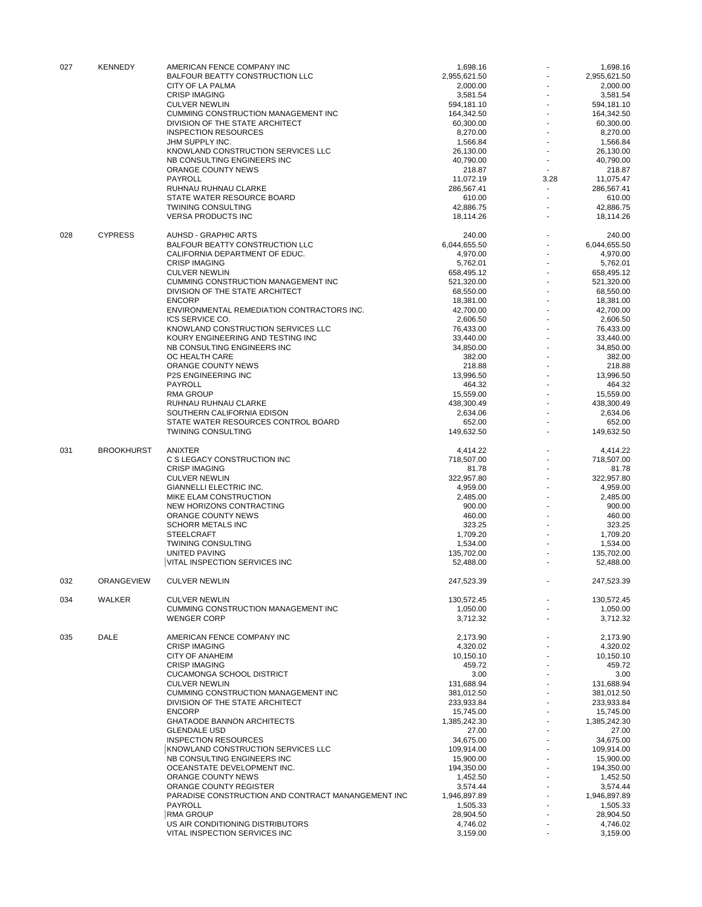| 027 | <b>KENNEDY</b>    | AMERICAN FENCE COMPANY INC<br><b>BALFOUR BEATTY CONSTRUCTION LLC</b> | 1,698.16<br>2,955,621.50 |      | 1,698.16<br>2,955,621.50 |
|-----|-------------------|----------------------------------------------------------------------|--------------------------|------|--------------------------|
|     |                   | CITY OF LA PALMA                                                     | 2,000.00                 |      | 2,000.00                 |
|     |                   | <b>CRISP IMAGING</b>                                                 | 3,581.54                 |      | 3,581.54                 |
|     |                   | <b>CULVER NEWLIN</b>                                                 | 594,181.10               |      | 594,181.10               |
|     |                   | CUMMING CONSTRUCTION MANAGEMENT INC                                  | 164,342.50               |      | 164,342.50               |
|     |                   | DIVISION OF THE STATE ARCHITECT                                      | 60,300.00                |      | 60,300.00                |
|     |                   | <b>INSPECTION RESOURCES</b>                                          | 8,270.00                 |      | 8,270.00                 |
|     |                   | JHM SUPPLY INC.                                                      | 1,566.84                 |      | 1,566.84                 |
|     |                   | KNOWLAND CONSTRUCTION SERVICES LLC                                   | 26,130.00                |      | 26,130.00                |
|     |                   | NB CONSULTING ENGINEERS INC                                          | 40,790.00                |      | 40,790.00                |
|     |                   | ORANGE COUNTY NEWS                                                   | 218.87                   |      | 218.87                   |
|     |                   | <b>PAYROLL</b>                                                       | 11,072.19                | 3.28 | 11,075.47                |
|     |                   | RUHNAU RUHNAU CLARKE                                                 | 286,567.41               |      | 286,567.41               |
|     |                   | STATE WATER RESOURCE BOARD                                           | 610.00                   |      | 610.00                   |
|     |                   | <b>TWINING CONSULTING</b>                                            | 42,886.75                |      | 42,886.75                |
|     |                   | <b>VERSA PRODUCTS INC</b>                                            | 18,114.26                |      | 18,114.26                |
| 028 | <b>CYPRESS</b>    | <b>AUHSD - GRAPHIC ARTS</b>                                          | 240.00                   |      | 240.00                   |
|     |                   | BALFOUR BEATTY CONSTRUCTION LLC                                      | 6,044,655.50             |      | 6,044,655.50             |
|     |                   | CALIFORNIA DEPARTMENT OF EDUC.                                       | 4,970.00                 |      | 4,970.00                 |
|     |                   | <b>CRISP IMAGING</b>                                                 | 5,762.01                 |      | 5,762.01                 |
|     |                   | <b>CULVER NEWLIN</b>                                                 | 658,495.12               |      | 658,495.12               |
|     |                   | CUMMING CONSTRUCTION MANAGEMENT INC                                  | 521,320.00               |      | 521,320.00               |
|     |                   | DIVISION OF THE STATE ARCHITECT                                      | 68,550.00                |      | 68,550.00                |
|     |                   | <b>ENCORP</b>                                                        | 18,381.00                |      | 18,381.00                |
|     |                   | ENVIRONMENTAL REMEDIATION CONTRACTORS INC.                           | 42,700.00                |      | 42,700.00                |
|     |                   | ICS SERVICE CO.                                                      | 2,606.50                 |      | 2,606.50                 |
|     |                   | KNOWLAND CONSTRUCTION SERVICES LLC                                   | 76,433.00                |      | 76,433.00                |
|     |                   | KOURY ENGINEERING AND TESTING INC                                    | 33,440.00                |      | 33,440.00                |
|     |                   | NB CONSULTING ENGINEERS INC                                          | 34,850.00                |      | 34,850.00                |
|     |                   | OC HEALTH CARE                                                       | 382.00                   |      | 382.00                   |
|     |                   | ORANGE COUNTY NEWS                                                   | 218.88                   |      | 218.88                   |
|     |                   | <b>P2S ENGINEERING INC</b>                                           | 13,996.50                |      | 13,996.50                |
|     |                   | <b>PAYROLL</b>                                                       | 464.32                   |      | 464.32                   |
|     |                   | <b>RMA GROUP</b>                                                     | 15,559.00                |      | 15,559.00                |
|     |                   | RUHNAU RUHNAU CLARKE                                                 | 438,300.49               |      | 438,300.49               |
|     |                   | SOUTHERN CALIFORNIA EDISON                                           | 2,634.06                 |      | 2,634.06                 |
|     |                   | STATE WATER RESOURCES CONTROL BOARD                                  | 652.00                   |      | 652.00                   |
|     |                   | <b>TWINING CONSULTING</b>                                            | 149,632.50               |      | 149,632.50               |
|     |                   |                                                                      |                          |      |                          |
| 031 | <b>BROOKHURST</b> | ANIXTER                                                              | 4,414.22                 |      | 4,414.22                 |
|     |                   | C S LEGACY CONSTRUCTION INC                                          | 718,507.00               |      | 718,507.00               |
|     |                   | <b>CRISP IMAGING</b>                                                 | 81.78                    |      | 81.78                    |
|     |                   | <b>CULVER NEWLIN</b>                                                 | 322,957.80               |      | 322,957.80               |
|     |                   | GIANNELLI ELECTRIC INC.                                              | 4,959.00                 |      | 4,959.00                 |
|     |                   | MIKE ELAM CONSTRUCTION                                               | 2,485.00                 |      | 2,485.00                 |
|     |                   | NEW HORIZONS CONTRACTING                                             | 900.00                   |      | 900.00                   |
|     |                   | ORANGE COUNTY NEWS                                                   | 460.00                   |      | 460.00                   |
|     |                   | <b>SCHORR METALS INC</b>                                             | 323.25                   |      | 323.25                   |
|     |                   | <b>STEELCRAFT</b>                                                    | 1,709.20                 |      | 1,709.20                 |
|     |                   | <b>TWINING CONSULTING</b>                                            | 1,534.00                 |      | 1,534.00                 |
|     |                   | <b>UNITED PAVING</b>                                                 | 135,702.00               |      | 135,702.00               |
|     |                   | VITAL INSPECTION SERVICES INC                                        | 52,488.00                |      | 52,488.00                |
| 032 | ORANGEVIEW        | <b>CULVER NEWLIN</b>                                                 | 247,523.39               |      | 247,523.39               |
|     |                   |                                                                      |                          |      |                          |
| 034 | WALKER            | <b>CULVER NEWLIN</b>                                                 | 130,572.45               |      | 130,572.45               |
|     |                   | CUMMING CONSTRUCTION MANAGEMENT INC<br><b>WENGER CORP</b>            | 1,050.00<br>3,712.32     |      | 1,050.00<br>3,712.32     |
|     |                   |                                                                      |                          |      |                          |
| 035 | <b>DALE</b>       | AMERICAN FENCE COMPANY INC                                           | 2,173.90                 |      | 2,173.90                 |
|     |                   | <b>CRISP IMAGING</b>                                                 | 4,320.02                 |      | 4,320.02                 |
|     |                   | CITY OF ANAHEIM                                                      | 10,150.10                |      | 10,150.10                |
|     |                   | <b>CRISP IMAGING</b>                                                 | 459.72                   |      | 459.72                   |
|     |                   | <b>CUCAMONGA SCHOOL DISTRICT</b>                                     | 3.00                     |      | 3.00                     |
|     |                   | <b>CULVER NEWLIN</b>                                                 | 131,688.94               |      | 131,688.94               |
|     |                   | CUMMING CONSTRUCTION MANAGEMENT INC                                  | 381,012.50               |      | 381,012.50               |
|     |                   | DIVISION OF THE STATE ARCHITECT                                      | 233,933.84               |      | 233,933.84               |
|     |                   | <b>ENCORP</b>                                                        | 15,745.00                |      | 15,745.00                |
|     |                   | <b>GHATAODE BANNON ARCHITECTS</b>                                    | 1,385,242.30             |      | 1,385,242.30             |
|     |                   | <b>GLENDALE USD</b>                                                  | 27.00                    |      | 27.00                    |
|     |                   | <b>INSPECTION RESOURCES</b>                                          | 34,675.00                |      | 34,675.00                |
|     |                   | KNOWLAND CONSTRUCTION SERVICES LLC                                   | 109,914.00               |      | 109,914.00               |
|     |                   | NB CONSULTING ENGINEERS INC                                          | 15,900.00                |      | 15,900.00                |
|     |                   | OCEANSTATE DEVELOPMENT INC.                                          | 194,350.00               |      | 194,350.00               |
|     |                   | ORANGE COUNTY NEWS                                                   | 1,452.50                 |      | 1,452.50                 |
|     |                   | ORANGE COUNTY REGISTER                                               |                          |      |                          |
|     |                   |                                                                      | 3,574.44                 |      | 3,574.44                 |
|     |                   | PARADISE CONSTRUCTION AND CONTRACT MANANGEMENT INC                   | 1,946,897.89             |      | 1,946,897.89             |
|     |                   | PAYROLL                                                              | 1,505.33                 |      | 1,505.33                 |
|     |                   | <b>RMA GROUP</b>                                                     | 28,904.50                |      | 28,904.50                |
|     |                   | US AIR CONDITIONING DISTRIBUTORS                                     | 4,746.02                 |      | 4,746.02                 |
|     |                   | VITAL INSPECTION SERVICES INC                                        | 3,159.00                 |      | 3,159.00                 |